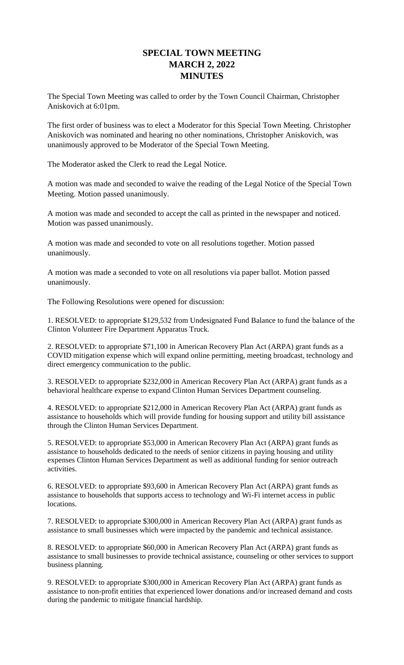## **SPECIAL TOWN MEETING MARCH 2, 2022 MINUTES**

The Special Town Meeting was called to order by the Town Council Chairman, Christopher Aniskovich at 6:01pm.

The first order of business was to elect a Moderator for this Special Town Meeting. Christopher Aniskovich was nominated and hearing no other nominations, Christopher Aniskovich, was unanimously approved to be Moderator of the Special Town Meeting.

The Moderator asked the Clerk to read the Legal Notice.

A motion was made and seconded to waive the reading of the Legal Notice of the Special Town Meeting. Motion passed unanimously.

A motion was made and seconded to accept the call as printed in the newspaper and noticed. Motion was passed unanimously.

A motion was made and seconded to vote on all resolutions together. Motion passed unanimously.

A motion was made a seconded to vote on all resolutions via paper ballot. Motion passed unanimously.

The Following Resolutions were opened for discussion:

1. RESOLVED: to appropriate \$129,532 from Undesignated Fund Balance to fund the balance of the Clinton Volunteer Fire Department Apparatus Truck.

2. RESOLVED: to appropriate \$71,100 in American Recovery Plan Act (ARPA) grant funds as a COVID mitigation expense which will expand online permitting, meeting broadcast, technology and direct emergency communication to the public.

3. RESOLVED: to appropriate \$232,000 in American Recovery Plan Act (ARPA) grant funds as a behavioral healthcare expense to expand Clinton Human Services Department counseling.

4. RESOLVED: to appropriate \$212,000 in American Recovery Plan Act (ARPA) grant funds as assistance to households which will provide funding for housing support and utility bill assistance through the Clinton Human Services Department.

5. RESOLVED: to appropriate \$53,000 in American Recovery Plan Act (ARPA) grant funds as assistance to households dedicated to the needs of senior citizens in paying housing and utility expenses Clinton Human Services Department as well as additional funding for senior outreach activities.

6. RESOLVED: to appropriate \$93,600 in American Recovery Plan Act (ARPA) grant funds as assistance to households that supports access to technology and Wi-Fi internet access in public locations.

7. RESOLVED: to appropriate \$300,000 in American Recovery Plan Act (ARPA) grant funds as assistance to small businesses which were impacted by the pandemic and technical assistance.

8. RESOLVED: to appropriate \$60,000 in American Recovery Plan Act (ARPA) grant funds as assistance to small businesses to provide technical assistance, counseling or other services to support business planning.

9. RESOLVED: to appropriate \$300,000 in American Recovery Plan Act (ARPA) grant funds as assistance to non-profit entities that experienced lower donations and/or increased demand and costs during the pandemic to mitigate financial hardship.